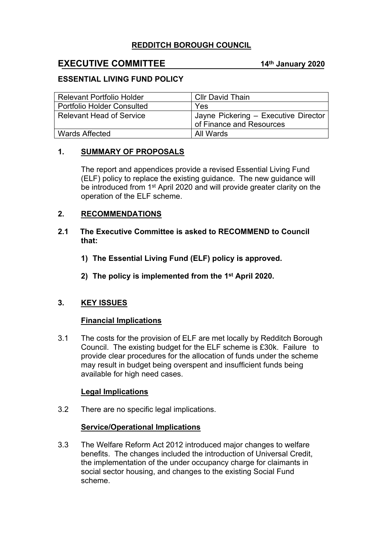# **REDDITCH BOROUGH COUNCIL**

# **EXECUTIVE COMMITTEE 14th January 2020**

## **ESSENTIAL LIVING FUND POLICY**

| <b>Relevant Portfolio Holder</b>  | <b>Cllr David Thain</b>                                          |
|-----------------------------------|------------------------------------------------------------------|
| <b>Portfolio Holder Consulted</b> | Yes                                                              |
| <b>Relevant Head of Service</b>   | Jayne Pickering - Executive Director<br>of Finance and Resources |
| <b>Wards Affected</b>             | All Wards                                                        |

## **1. SUMMARY OF PROPOSALS**

The report and appendices provide a revised Essential Living Fund (ELF) policy to replace the existing guidance. The new guidance will be introduced from 1<sup>st</sup> April 2020 and will provide greater clarity on the operation of the ELF scheme.

## **2. RECOMMENDATIONS**

## **2.1 The Executive Committee is asked to RECOMMEND to Council that:**

- **1) The Essential Living Fund (ELF) policy is approved.**
- **2) The policy is implemented from the 1 st April 2020.**

## **3. KEY ISSUES**

## **Financial Implications**

3.1 The costs for the provision of ELF are met locally by Redditch Borough Council. The existing budget for the ELF scheme is £30k. Failure to provide clear procedures for the allocation of funds under the scheme may result in budget being overspent and insufficient funds being available for high need cases.

## **Legal Implications**

3.2 There are no specific legal implications.

## **Service/Operational Implications**

3.3 The Welfare Reform Act 2012 introduced major changes to welfare benefits. The changes included the introduction of Universal Credit, the implementation of the under occupancy charge for claimants in social sector housing, and changes to the existing Social Fund scheme.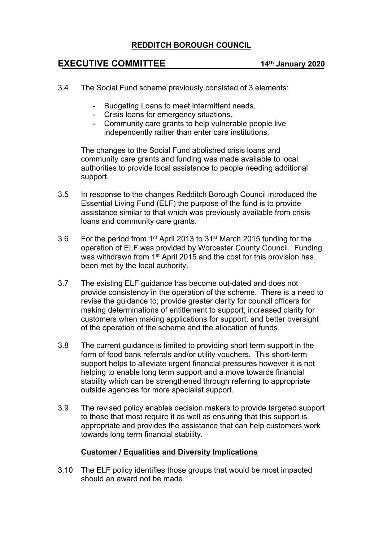## **REDDITCH BOROUGH COUNCIL**

# **EXECUTIVE COMMITTEE 14th January 2020**

- 3.4 The Social Fund scheme previously consisted of 3 elements:
	- Budgeting Loans to meet intermittent needs.
	- Crisis loans for emergency situations.
	- Community care grants to help vulnerable people live independently rather than enter care institutions.

The changes to the Social Fund abolished crisis loans and community care grants and funding was made available to local authorities to provide local assistance to people needing additional support.

- 3.5 In response to the changes Redditch Borough Council introduced the Essential Living Fund (ELF) the purpose of the fund is to provide assistance similar to that which was previously available from crisis loans and community care grants.
- 3.6 For the period from 1<sup>st</sup> April 2013 to 31<sup>st</sup> March 2015 funding for the operation of ELF was provided by Worcester County Council. Funding was withdrawn from 1<sup>st</sup> April 2015 and the cost for this provision has been met by the local authority.
- 3.7 The existing ELF guidance has become out-dated and does not provide consistency in the operation of the scheme. There is a need to revise the guidance to; provide greater clarity for council officers for making determinations of entitlement to support; increased clarity for customers when making applications for support; and better oversight of the operation of the scheme and the allocation of funds.
- 3.8 The current guidance is limited to providing short term support in the form of food bank referrals and/or utility vouchers. This short-term support helps to alleviate urgent financial pressures however it is not helping to enable long term support and a move towards financial stability which can be strengthened through referring to appropriate outside agencies for more specialist support.
- 3.9 The revised policy enables decision makers to provide targeted support to those that most require it as well as ensuring that this support is appropriate and provides the assistance that can help customers work towards long term financial stability.

## **Customer / Equalities and Diversity Implications**

3.10 The ELF policy identifies those groups that would be most impacted should an award not be made.